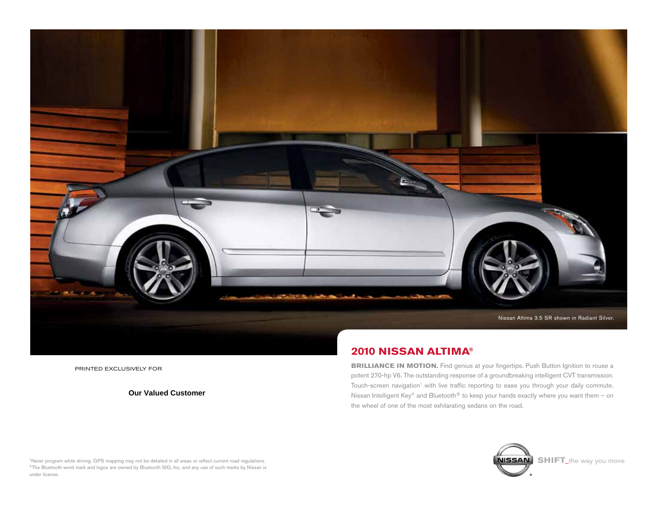

printed Exclusively for

**Our Valued Customer**

# **2010 Nissan altima®**

**BRILLIANCE IN MOTION.** Find genius at your fingertips. Push Button Ignition to rouse a potent 270-hp V6. The outstanding response of a groundbreaking intelligent CVT transmission. Touch-screen navigation' with live traffic reporting to ease you through your daily commute. Nissan Intelligent Key® and Bluetooth® to keep your hands exactly where you want them – on the wheel of one of the most exhilarating sedans on the road.



<sup>1</sup>Never program while driving. GPS mapping may not be detailed in all areas or reflect current road regulations. ®The Bluetooth word mark and logos are owned by Bluetooth SIG, Inc. and any use of such marks by Nissan is under license.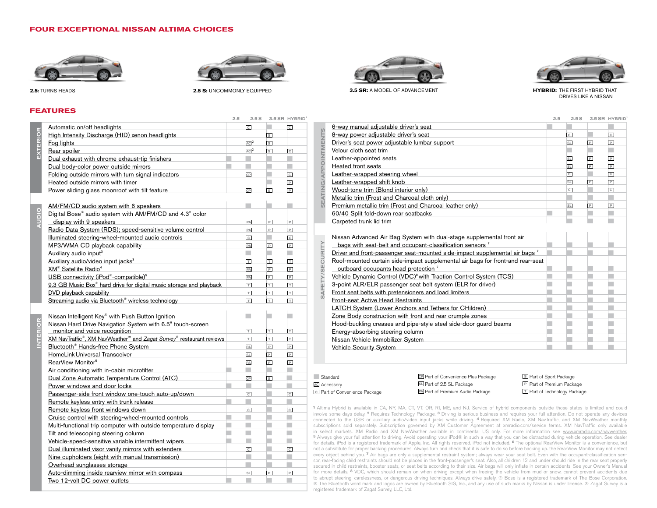#### **FOUR EXCEPTIONAL NISSAN ALTIMA CHOICES**





**2.5:** TURNS HEADS **2.5:** TURNS HEADS **2.5: 2.5: 2.5: 2.5: 2.5: 2.5: 2.5: 2.5: 2.5: 2.5: 2.5: 2.5: 2.5: 2.5: 2.5: 2.5: 2.5: 2.5: 2.5: 2.5: 2.5: 2.5: 2.5: 2.5: 2.5: 2.5: 2** 

# **FEATURES**

| EXTERIOR        | Automatic on/off headlights                                                                 | $\mathbb C$       | ۰                       | $\mathbb{C}$         |
|-----------------|---------------------------------------------------------------------------------------------|-------------------|-------------------------|----------------------|
|                 | High Intensity Discharge (HID) xenon headlights                                             |                   | $\boxed{s}$             |                      |
|                 | Fog lights                                                                                  | AC <sup>2</sup>   | $\vert s \vert$         |                      |
|                 | Rear spoiler                                                                                | AC <sup>2</sup>   | $\overline{\mathsf{s}}$ | $\mathbb{C}$         |
|                 | Dual exhaust with chrome exhaust-tip finishers                                              |                   |                         |                      |
|                 | Dual body-color power outside mirrors                                                       | π                 |                         |                      |
|                 | Folding outside mirrors with turn signal indicators                                         | CP                |                         | $\mathsf{C}$         |
|                 | Heated outside mirrors with timer                                                           |                   |                         | $\overline{P}$       |
|                 | Power sliding glass moonroof with tilt feature                                              | CP                | $\vert$ S               | $\overline{P}$       |
|                 |                                                                                             |                   |                         |                      |
|                 | AM/FM/CD audio system with 6 speakers                                                       |                   |                         |                      |
| OIODK           | Digital Bose® audio system with AM/FM/CD and 4.3" color                                     |                   |                         |                      |
|                 | display with 9 speakers                                                                     | PA                | $\mathsf P$             | $\overline{P}$       |
|                 | Radio Data System (RDS); speed-sensitive volume control                                     | PA                | $\boxed{P}$             | $\overline{P}$       |
|                 | Illuminated steering-wheel-mounted audio controls                                           | $\mathsf{C}$      |                         | $\mathbb{C}$         |
|                 | MP3/WMA CD playback capability                                                              | PA                | $\overline{P}$          | $\boxed{\mathsf{P}}$ |
|                 | Auxiliary audio input <sup>3</sup>                                                          |                   |                         |                      |
|                 | Auxiliary audio/video input jacks <sup>3</sup>                                              |                   | T                       | F                    |
|                 |                                                                                             | $\mathbb{L}$      | $\, {\sf P}$            | $\boxed{\mathsf{P}}$ |
|                 | XM <sup>®</sup> Satellite Radio <sup>4</sup>                                                | PA                | $\boxed{P}$             | $\overline{P}$       |
|                 | USB connectivity (iPod®-compatible) <sup>5</sup>                                            | PA                |                         |                      |
|                 | 9.3 GB Music Box® hard drive for digital music storage and playback                         | $\top$            | $\top$                  | $\top$               |
|                 | DVD playback capability                                                                     | $\top$            | $\Box$                  | ⊓                    |
|                 | Streaming audio via Bluetooth® wireless technology                                          | $\overline{\top}$ | $\overline{\top}$       | $\Box$               |
|                 |                                                                                             |                   |                         |                      |
|                 | Nissan Intelligent Key® with Push Button Ignition                                           |                   |                         |                      |
| <b>INTERIOR</b> | Nissan Hard Drive Navigation System with 6.5" touch-screen<br>monitor and voice recognition | $\top$            | $\top$                  | $\top$               |
|                 | XM NavTraffic®, XM NavWeather <sup>™</sup> and Zagat Survey® restaurant reviews             | $\top$            | $\top$                  | $\top$               |
|                 | Bluetooth <sup>®</sup> Hands-free Phone System                                              | PA                | $\boxed{P}$             | $\overline{P}$       |
|                 | HomeLink Universal Transceiver                                                              | <b>SL</b>         | $\boxed{P}$             | $\, {\bf P}$         |
|                 | RearView Monitor <sup>6</sup>                                                               | PA                | $\overline{P}$          | $\mathsf P$          |
|                 | Air conditioning with in-cabin microfilter                                                  |                   |                         |                      |
|                 | Dual Zone Automatic Temperature Control (ATC)                                               | CP                | $\vert$ S               |                      |
|                 | Power windows and door locks                                                                |                   |                         |                      |
|                 | Passenger-side front window one-touch auto-up/down                                          | $\mathbb C$       |                         | $\overline{c}$       |
|                 | Remote keyless entry with trunk release                                                     |                   |                         |                      |
|                 | Remote keyless front windows down                                                           | $\overline{c}$    |                         | $\mathbb{C}$         |
|                 | Cruise control with steering-wheel-mounted controls                                         |                   |                         |                      |
|                 | Multi-functional trip computer with outside temperature display                             |                   |                         |                      |
|                 | Tilt and telescoping steering column                                                        |                   |                         |                      |
|                 | Vehicle-speed-sensitive variable intermittent wipers                                        |                   |                         |                      |
|                 | Dual illuminated visor vanity mirrors with extenders                                        | $\mathsf{C}$      |                         | $\mathbb C$          |
|                 | Nine cupholders (eight with manual transmission)                                            |                   |                         |                      |
|                 | Overhead sunglasses storage                                                                 |                   |                         |                      |
|                 | Auto-dimming inside rearview mirror with compass                                            | <b>SL</b>         | $\overline{P}$          | $\, {\sf P}$         |
|                 | Two 12-volt DC power outlets                                                                |                   |                         |                      |
|                 |                                                                                             |                   |                         |                      |



**3.5 SR:** A MODEL OF ADVANCEMENT **HYBRID:** THE FIRST HYBRID THAT



drives like a nissan

| 2.5S              |                         | 3.5 SR HYBRID  |                  |                                                                                        | 2.5                                                                                                                                                                                                                                                                                                    | 2.5S           |                | 3.5 SR HYBRID  |
|-------------------|-------------------------|----------------|------------------|----------------------------------------------------------------------------------------|--------------------------------------------------------------------------------------------------------------------------------------------------------------------------------------------------------------------------------------------------------------------------------------------------------|----------------|----------------|----------------|
| $\mathbb{C}$      |                         | $\overline{c}$ |                  | 6-way manual adjustable driver's seat                                                  |                                                                                                                                                                                                                                                                                                        |                |                |                |
|                   | s l                     |                |                  | 8-way power adjustable driver's seat                                                   |                                                                                                                                                                                                                                                                                                        | $\mathbb C$    |                | $\mathsf{C}$   |
| $AC$ <sup>2</sup> | $\vert$ S               |                |                  | Driver's seat power adjustable lumbar support                                          |                                                                                                                                                                                                                                                                                                        | <b>SL</b>      | $\overline{P}$ | $\overline{P}$ |
| AC <sup>2</sup>   | $\overline{s}$          | $\overline{c}$ |                  | Velour cloth seat trim                                                                 |                                                                                                                                                                                                                                                                                                        |                |                |                |
|                   |                         |                |                  | Leather-appointed seats                                                                |                                                                                                                                                                                                                                                                                                        | <b>SL</b>      | $\mathsf{P}$   | P              |
|                   |                         |                |                  | Heated front seats                                                                     |                                                                                                                                                                                                                                                                                                        | <b>SL</b>      | $\overline{P}$ | $\overline{P}$ |
| CP                |                         | $\mathbb{C}$   | $\mathbf{r}$     | Leather-wrapped steering wheel                                                         |                                                                                                                                                                                                                                                                                                        | $\overline{c}$ |                | $\overline{c}$ |
|                   |                         | P              |                  | Leather-wrapped shift knob                                                             |                                                                                                                                                                                                                                                                                                        | <b>SL</b>      | $\mathsf P$    | $\overline{P}$ |
| CP                | $\vert$ s               | $\mathsf{P}$   |                  | Wood-tone trim (Blond interior only)                                                   |                                                                                                                                                                                                                                                                                                        | $\overline{c}$ |                | $\overline{c}$ |
|                   |                         |                |                  | Metallic trim (Frost and Charcoal cloth only)                                          |                                                                                                                                                                                                                                                                                                        |                |                |                |
|                   |                         |                | $\overline{u}$   | Premium metallic trim (Frost and Charcoal leather only)                                |                                                                                                                                                                                                                                                                                                        | SL             | $\mathsf{P}$   | $\mathsf{P}$   |
|                   |                         |                |                  | 60/40 Split fold-down rear seatbacks                                                   |                                                                                                                                                                                                                                                                                                        |                |                |                |
| PA                | $\mathsf P$             | ╔              |                  | Carpeted trunk lid trim                                                                |                                                                                                                                                                                                                                                                                                        |                |                |                |
| PA                | $\Box$                  | $\overline{P}$ |                  |                                                                                        |                                                                                                                                                                                                                                                                                                        |                |                |                |
| $\overline{c}$    |                         | c              |                  | Nissan Advanced Air Bag System with dual-stage supplemental front air                  |                                                                                                                                                                                                                                                                                                        |                |                |                |
| PA                | $\overline{P}$          | P              |                  |                                                                                        |                                                                                                                                                                                                                                                                                                        |                |                |                |
|                   |                         |                | œ                | Driver and front-passenger seat-mounted side-impact supplemental air bags <sup>7</sup> |                                                                                                                                                                                                                                                                                                        |                |                |                |
| T                 | T                       | T              | $\left( \right)$ |                                                                                        |                                                                                                                                                                                                                                                                                                        |                |                |                |
| PA                | $\mathsf P$             | ГP             | (U)              | outboard occupants head protection <sup>7</sup>                                        |                                                                                                                                                                                                                                                                                                        |                |                |                |
| PA                | $\Box$                  | <b>P</b>       |                  |                                                                                        |                                                                                                                                                                                                                                                                                                        |                |                |                |
| П                 | $\top$                  | IΤ             | ш                |                                                                                        |                                                                                                                                                                                                                                                                                                        |                |                |                |
| π                 | $\Box$                  | ΓT             |                  | Front seat belts with pretensioners and load limiters                                  |                                                                                                                                                                                                                                                                                                        |                |                |                |
| l٣                | $\overline{\mathbf{r}}$ | Iτ             |                  | Front-seat Active Head Restraints                                                      |                                                                                                                                                                                                                                                                                                        |                |                |                |
|                   |                         |                |                  | LATCH System (Lower Anchors and Tethers for CHildren)                                  |                                                                                                                                                                                                                                                                                                        |                |                |                |
|                   |                         |                |                  | Zone Body construction with front and rear crumple zones                               |                                                                                                                                                                                                                                                                                                        |                |                |                |
|                   |                         |                |                  | Hood-buckling creases and pipe-style steel side-door guard beams                       |                                                                                                                                                                                                                                                                                                        |                |                |                |
| T                 | T.                      | ΤI             |                  | Energy-absorbing steering column                                                       |                                                                                                                                                                                                                                                                                                        |                |                |                |
| $\overline{\top}$ | T                       | ᅱ              |                  | Nissan Vehicle Immobilizer System                                                      |                                                                                                                                                                                                                                                                                                        |                |                |                |
| PA                | P                       | P              |                  | Vehicle Security System                                                                |                                                                                                                                                                                                                                                                                                        |                |                |                |
| <b>SL</b>         | P                       | $\overline{P}$ |                  |                                                                                        |                                                                                                                                                                                                                                                                                                        |                |                |                |
|                   |                         |                |                  | Ш<br>π<br>$\omega$                                                                     | bags with seat-belt and occupant-classification sensors <sup>7</sup><br>Roof-mounted curtain side-impact supplemental air bags for front-and rear-seat<br>Vehicle Dynamic Control (VDC) <sup>8</sup> with Traction Control System (TCS)<br>3-point ALR/ELR passenger seat belt system (ELR for driver) |                |                |                |

#### ■ Standard **AC** Accessory

**<sup>C</sup>** Part of Convenience Package

**CP** Part of Convenience Plus Package **SL** Part of 2.5 SL Package **PA** Part of Premium Audio Package

**<sup>S</sup>** Part of Sport Package **<sup>P</sup>** Part of Premium Package **<sup>T</sup>** Part of Technology Package

**<sup>1</sup>**Altima Hybrid is available in CA, NY, MA, CT, VT, OR, RI, ME, and NJ. Service of hybrid components outside those states is limited and could involve some days delay. **2** Requires Technology Package. **3** Driving is serious business and requires your full attention. Do not operate any devices connected to the USB or auxiliary audio/video input jacks while driving. **<sup>4</sup>**Required XM Radio, XM NavTraffic, and XM NavWeather monthly subscriptions sold separately. Subscription governed by XM Customer Agreement at xmradio.com/service terms. XM NavTraffic only available in select markets. XM Radio and XM NavWeather available in continental US only. For more information see www.xmradio.com/navweather. **<sup>5</sup>**Always give your full attention to driving. Avoid operating your iPod® in such a way that you can be distracted during vehicle operation. See dealer for details. iPod is a registered trademark of Apple, Inc. All rights reserved. iPod not included. **6** The optional RearView Monitor is a convenience, but not a subsititute for proper backing procedures. Always turn and check that it is safe to do so before backing up. the RearView Monitor may not detect every object behind you. **7** Air bags are only a supplemental restraint system; always wear your seat belt. Even with the occupant-classification sensor, rear-facing child restraints should not be placed in the front-passenger's seat. Also, all children 12 and under should ride in the rear seat properly secured in child restraints, booster seats, or seat belts according to their size. Air bags will only inflate in certain accidents. See your Owner's Manual for more details. **8** VDC, which should remain on when driving except when freeing the vehicle from mud or snow, cannot prevent accidents due to abrupt steering, carelessness, or dangerous driving techniques. Always drive safely. ® Bose is a registered trademark of The Bose Corporation. ® The Bluetooth word mark and logos are owned by Bluetooth SIG, Inc., and any use of such marks by Nissan is under license. ® Zagat Survey is a registered trademark of Zagat Survey, LLC, Ltd.